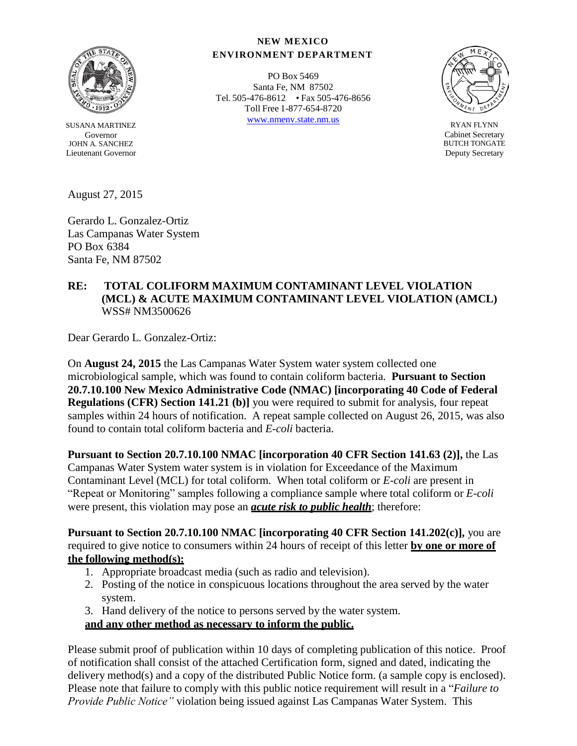

SUSANA MARTINEZ Governor JOHN A. SANCHEZ Lieutenant Governor

August 27, 2015

Gerardo L. Gonzalez-Ortiz Las Campanas Water System PO Box 6384 Santa Fe, NM 87502

#### **NEW MEXICO ENVIRONMENT DEPARTMENT**

PO Box 5469 Santa Fe, NM 87502 Tel. 505-476-8612 • Fax 505-476-8656 Toll Free 1-877-654-8720 [www.nmenv.state.nm.us](http://www.nmenv.state.nm.us/) RYAN FLYNN



Cabinet Secretary BUTCH TONGATE Deputy Secretary

## **RE: TOTAL COLIFORM MAXIMUM CONTAMINANT LEVEL VIOLATION (MCL) & ACUTE MAXIMUM CONTAMINANT LEVEL VIOLATION (AMCL)** WSS# NM3500626

Dear Gerardo L. Gonzalez-Ortiz:

On **August 24, 2015** the Las Campanas Water System water system collected one microbiological sample, which was found to contain coliform bacteria. **Pursuant to Section 20.7.10.100 New Mexico Administrative Code (NMAC) [incorporating 40 Code of Federal Regulations (CFR) Section 141.21 (b)]** you were required to submit for analysis, four repeat samples within 24 hours of notification. A repeat sample collected on August 26, 2015, was also found to contain total coliform bacteria and *E-coli* bacteria.

**Pursuant to Section 20.7.10.100 NMAC [incorporation 40 CFR Section 141.63 (2)],** the Las Campanas Water System water system is in violation for Exceedance of the Maximum Contaminant Level (MCL) for total coliform. When total coliform or *E-coli* are present in "Repeat or Monitoring" samples following a compliance sample where total coliform or *E-coli* were present, this violation may pose an *acute risk to public health*; therefore:

**Pursuant to Section 20.7.10.100 NMAC [incorporating 40 CFR Section 141.202(c)],** you are required to give notice to consumers within 24 hours of receipt of this letter **by one or more of the following method(s):**

- 1. Appropriate broadcast media (such as radio and television).
- 2. Posting of the notice in conspicuous locations throughout the area served by the water system.
- 3. Hand delivery of the notice to persons served by the water system.

**and any other method as necessary to inform the public.**

Please submit proof of publication within 10 days of completing publication of this notice. Proof of notification shall consist of the attached Certification form, signed and dated, indicating the delivery method(s) and a copy of the distributed Public Notice form. (a sample copy is enclosed). Please note that failure to comply with this public notice requirement will result in a "*Failure to Provide Public Notice"* violation being issued against Las Campanas Water System. This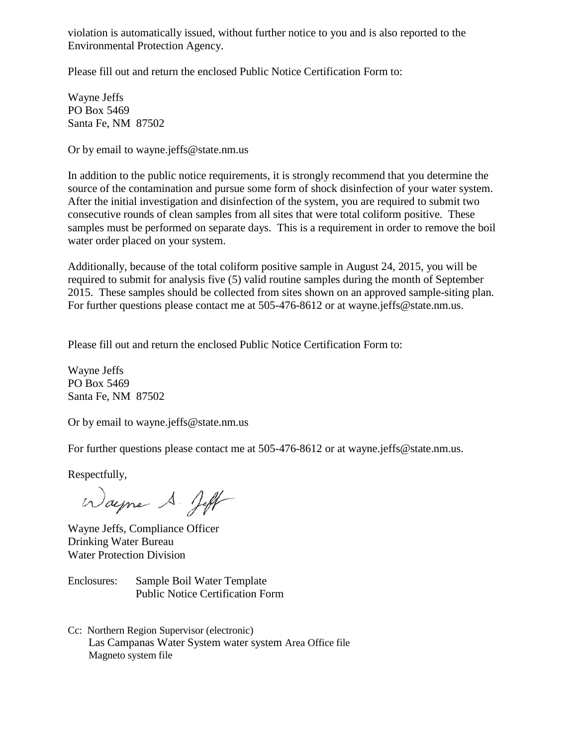violation is automatically issued, without further notice to you and is also reported to the Environmental Protection Agency.

Please fill out and return the enclosed Public Notice Certification Form to:

Wayne Jeffs PO Box 5469 Santa Fe, NM 87502

Or by email [to wayne.jeffs@state.nm.us](mailto:wayne.jeffs@state.nm.us)

In addition to the public notice requirements, it is strongly recommend that you determine the source of the contamination and pursue some form of shock disinfection of your water system. After the initial investigation and disinfection of the system, you are required to submit two consecutive rounds of clean samples from all sites that were total coliform positive. These samples must be performed on separate days. This is a requirement in order to remove the boil water order placed on your system.

Additionally, because of the total coliform positive sample in August 24, 2015, you will be required to submit for analysis five (5) valid routine samples during the month of September 2015. These samples should be collected from sites shown on an approved sample-siting plan. For further questions please contact me at 505-476-8612 or at [wayne.jeffs@state.nm.us.](mailto:wayne.jeffs@state.nm.us)

Please fill out and return the enclosed Public Notice Certification Form to:

Wayne Jeffs PO Box 5469 Santa Fe, NM 87502

Or by email [to wayne.jeffs@state.nm.us](mailto:wayne.jeffs@state.nm.us)

For further questions please contact me at 505-476-8612 or at [wayne.jeffs@state.nm.us.](mailto:wayne.jeffs@state.nm.us)

Respectfully,

Wayne S. Jeff

Wayne Jeffs, Compliance Officer Drinking Water Bureau Water Protection Division

Enclosures: Sample Boil Water Template Public Notice Certification Form

Cc: Northern Region Supervisor (electronic) Las Campanas Water System water system Area Office file Magneto system file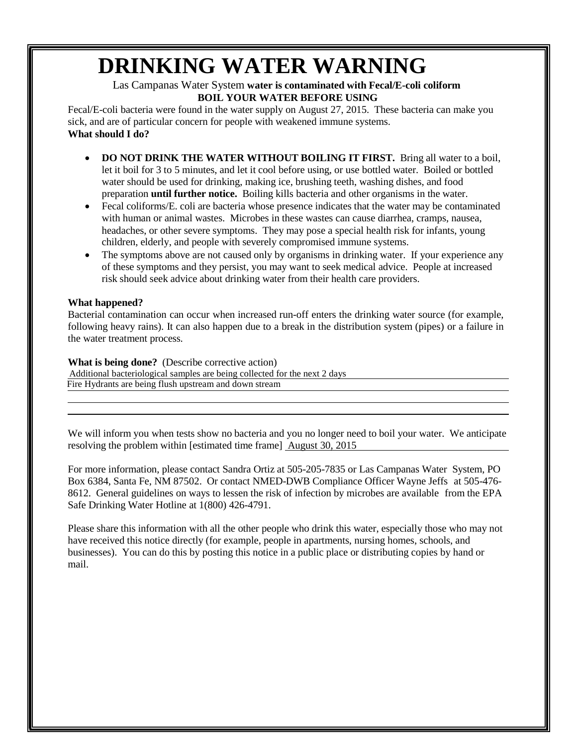# **DRINKING WATER WARNING**

### Las Campanas Water System **water is contaminated with Fecal/E-coli coliform BOIL YOUR WATER BEFORE USING**

Fecal/E-coli bacteria were found in the water supply on August 27, 2015. These bacteria can make you sick, and are of particular concern for people with weakened immune systems. **What should I do?**

- **DO NOT DRINK THE WATER WITHOUT BOILING IT FIRST.** Bring all water to a boil, let it boil for 3 to 5 minutes, and let it cool before using, or use bottled water. Boiled or bottled water should be used for drinking, making ice, brushing teeth, washing dishes, and food preparation **until further notice.** Boiling kills bacteria and other organisms in the water.
- Fecal coliforms/E. coli are bacteria whose presence indicates that the water may be contaminated with human or animal wastes. Microbes in these wastes can cause diarrhea, cramps, nausea, headaches, or other severe symptoms. They may pose a special health risk for infants, young children, elderly, and people with severely compromised immune systems.
- The symptoms above are not caused only by organisms in drinking water. If your experience any of these symptoms and they persist, you may want to seek medical advice. People at increased risk should seek advice about drinking water from their health care providers.

#### **What happened?**

Bacterial contamination can occur when increased run-off enters the drinking water source (for example, following heavy rains). It can also happen due to a break in the distribution system (pipes) or a failure in the water treatment process.

#### **What is being done?** (Describe corrective action)

 Additional bacteriological samples are being collected for the next 2 days Fire Hydrants are being flush upstream and down stream

We will inform you when tests show no bacteria and you no longer need to boil your water. We anticipate resolving the problem within [estimated time frame] August 30, 2015

For more information, please contact Sandra Ortiz at 505-205-7835 or Las Campanas Water System, PO Box 6384, Santa Fe, NM 87502. Or contact NMED-DWB Compliance Officer Wayne Jeffs at 505-476- 8612. General guidelines on ways to lessen the risk of infection by microbes are available from the EPA Safe Drinking Water Hotline at 1(800) 426-4791.

Please share this information with all the other people who drink this water, especially those who may not have received this notice directly (for example, people in apartments, nursing homes, schools, and businesses). You can do this by posting this notice in a public place or distributing copies by hand or mail.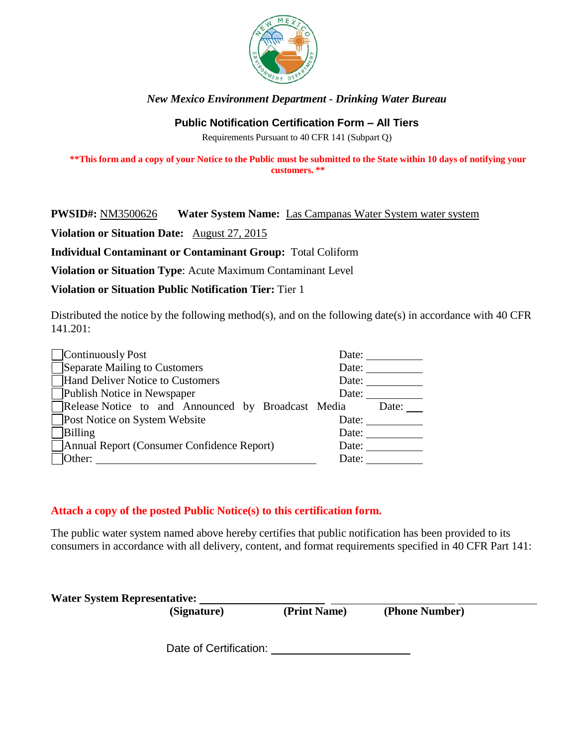

# *New Mexico Environment Department - Drinking Water Bureau*

## **Public Notification Certification Form – All Tiers**

Requirements Pursuant to 40 CFR 141 (Subpart Q)

\*\* This form and a copy of your Notice to the Public must be submitted to the State within 10 days of notifying your **customers. \*\***

## **PWSID#:** NM3500626 **Water System Name:** Las Campanas Water System water system

**Violation or Situation Date:** August 27, 2015

**Individual Contaminant or Contaminant Group:** Total Coliform

**Violation or Situation Type**: Acute Maximum Contaminant Level

**Violation or Situation Public Notification Tier:** Tier 1

Distributed the notice by the following method(s), and on the following date(s) in accordance with 40 CFR  $141.201:$ 

| Continuously Post                                  | Date: |       |  |
|----------------------------------------------------|-------|-------|--|
| Separate Mailing to Customers                      | Date: |       |  |
| Hand Deliver Notice to Customers                   | Date: |       |  |
| Publish Notice in Newspaper                        | Date: |       |  |
| Release Notice to and Announced by Broadcast Media |       | Date: |  |
| <b>Post Notice on System Website</b>               | Date: |       |  |
| Billing                                            | Date: |       |  |
| Annual Report (Consumer Confidence Report)         | Date: |       |  |
| Other:                                             | Date: |       |  |

# **Attach a copy of the posted Public Notice(s) to this certification form.**

The public water system named above hereby certifies that public notification has been provided to its consumers in accordance with all delivery, content, and format requirements specified in 40 CFR Part 141:

|  | <b>Water System Representative:</b> |
|--|-------------------------------------|
|--|-------------------------------------|

**(Signature) (Print Name) (Phone Number)**

Date of Certification: